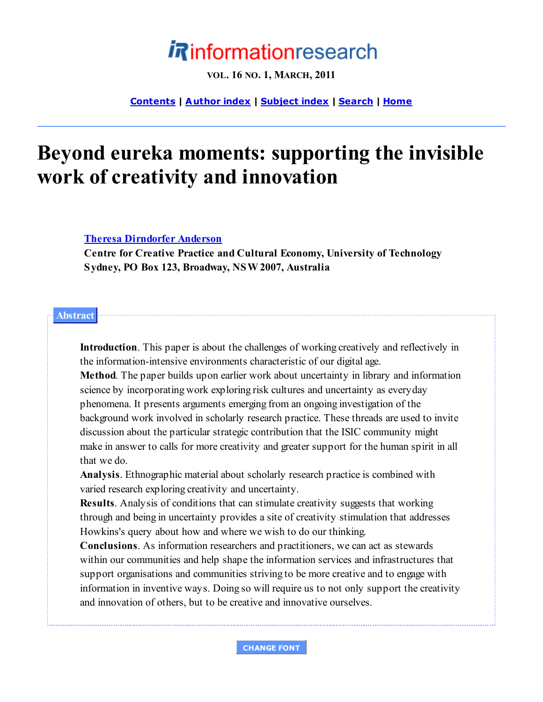# **Rinformationresearch**

**VOL. 16 NO. 1, MARCH, 2011**

**Contents | A uthor index | Subject index | Search | Home**

## **Beyond eureka moments: supporting the invisible work of creativity and innovation**

**Theresa Dirndorfer Anderson**

**Centre for Creative Practice and Cultural Economy, University of Technology Sydney, PO Box 123, Broadway, NSW 2007, Australia**

#### **Abstract**

**Introduction**. This paper is about the challenges of working creatively and reflectively in the information-intensive environments characteristic of our digital age.

**Method**. The paper builds upon earlier work about uncertainty in library and information science by incorporating work exploring risk cultures and uncertainty as everyday phenomena. It presents arguments emerging from an ongoing investigation of the background work involved in scholarly research practice. These threads are used to invite discussion about the particular strategic contribution that the ISIC community might make in answer to calls for more creativity and greater support for the human spirit in all that we do.

**Analysis**. Ethnographic material about scholarly research practice is combined with varied research exploring creativity and uncertainty.

**Results**. Analysis of conditions that can stimulate creativity suggests that working through and being in uncertainty provides a site of creativity stimulation that addresses Howkins's query about how and where we wish to do our thinking.

**Conclusions**. As information researchers and practitioners, we can act as stewards within our communities and help shape the information services and infrastructures that support organisations and communities striving to be more creative and to engage with information in inventive ways. Doing so will require us to not only support the creativity and innovation of others, but to be creative and innovative ourselves.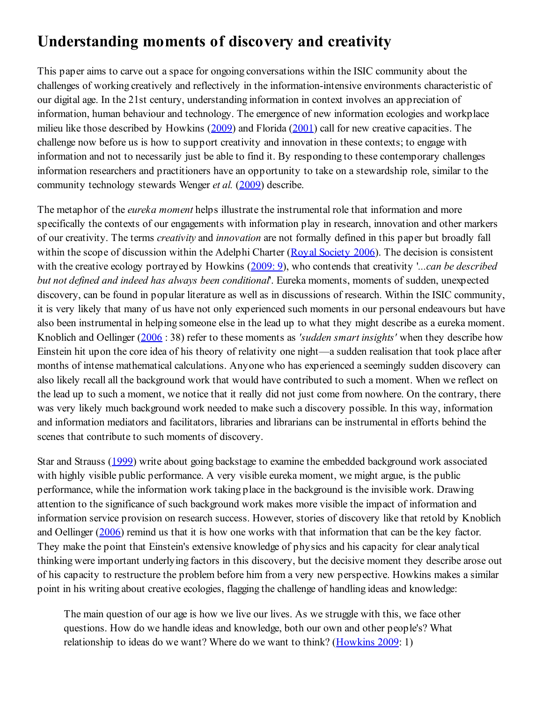### **Understanding moments of discovery and creativity**

This paper aims to carve out a space for ongoing conversations within the ISIC community about the challenges of working creatively and reflectively in the information-intensive environments characteristic of our digital age. In the 21st century, understanding information in context involves an appreciation of information, human behaviour and technology. The emergence of new information ecologies and workplace milieu like those described by Howkins (2009) and Florida (2001) call for new creative capacities. The challenge now before us is how to support creativity and innovation in these contexts; to engage with information and not to necessarily just be able to find it. By responding to these contemporary challenges information researchers and practitioners have an opportunity to take on a stewardship role, similar to the community technology stewards Wenger *et al.* (2009) describe.

The metaphor of the *eureka moment* helps illustrate the instrumental role that information and more specifically the contexts of our engagements with information play in research, innovation and other markers of our creativity. The terms *creativity* and *innovation* are not formally defined in this paper but broadly fall within the scope of discussion within the Adelphi Charter (Royal Society 2006). The decision is consistent with the creative ecology portrayed by Howkins (2009: 9), who contends that creativity '*...can be described but not defined and indeed has always been conditional*'. Eureka moments, moments of sudden, unexpected discovery, can be found in popular literature as well as in discussions of research. Within the ISIC community, it is very likely that many of us have not only experienced such moments in our personal endeavours but have also been instrumental in helping someone else in the lead up to what they might describe as a eureka moment. Knoblich and Oellinger (2006 : 38) refer to these moments as *'sudden smart insights'* when they describe how Einstein hit upon the core idea of his theory of relativity one night—a sudden realisation that took place after months of intense mathematical calculations. Anyone who has experienced a seemingly sudden discovery can also likely recall all the background work that would have contributed to such a moment. When we reflect on the lead up to such a moment, we notice that it really did not just come from nowhere. On the contrary, there was very likely much background work needed to make such a discovery possible. In this way, information and information mediators and facilitators, libraries and librarians can be instrumental in efforts behind the scenes that contribute to such moments of discovery.

Star and Strauss (1999) write about going backstage to examine the embedded background work associated with highly visible public performance. A very visible eureka moment, we might argue, is the public performance, while the information work taking place in the background is the invisible work. Drawing attention to the significance of such background work makes more visible the impact of information and information service provision on research success. However, stories of discovery like that retold by Knoblich and Oellinger (2006) remind us that it is how one works with that information that can be the key factor. They make the point that Einstein's extensive knowledge of physics and his capacity for clear analytical thinking were important underlying factors in this discovery, but the decisive moment they describe arose out of his capacity to restructure the problem before him from a very new perspective. Howkins makes a similar point in his writing about creative ecologies, flagging the challenge of handling ideas and knowledge:

The main question of our age is how we live our lives. As we struggle with this, we face other questions. How do we handle ideas and knowledge, both our own and other people's? What relationship to ideas do we want? Where do we want to think? (Howkins 2009: 1)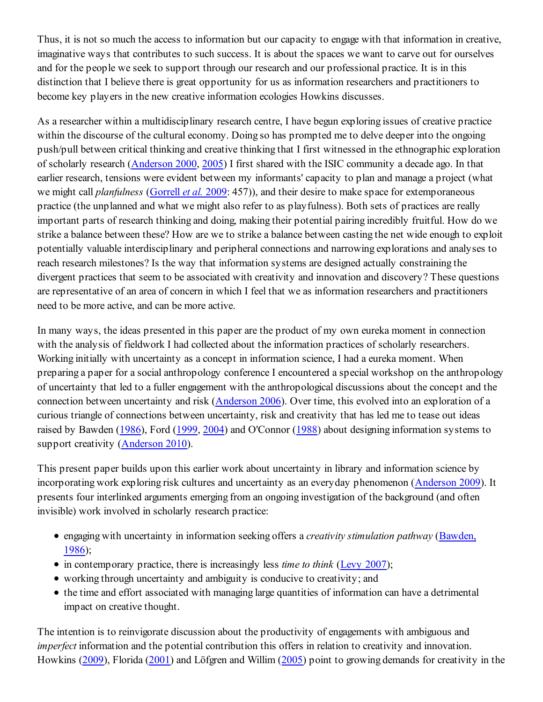Thus, it is not so much the access to information but our capacity to engage with that information in creative, imaginative ways that contributes to such success. It is about the spaces we want to carve out for ourselves and for the people we seek to support through our research and our professional practice. It is in this distinction that I believe there is great opportunity for us as information researchers and practitioners to become key players in the new creative information ecologies Howkins discusses.

As a researcher within a multidisciplinary research centre, I have begun exploring issues of creative practice within the discourse of the cultural economy. Doing so has prompted me to delve deeper into the ongoing push/pull between critical thinking and creative thinking that I first witnessed in the ethnographic exploration of scholarly research (Anderson 2000, 2005) I first shared with the ISIC community a decade ago. In that earlier research, tensions were evident between my informants' capacity to plan and manage a project (what we might call *planfulness* (Gorrell *et al.* 2009: 457)), and their desire to make space for extemporaneous practice (the unplanned and what we might also refer to as playfulness). Both sets of practices are really important parts of research thinking and doing, making their potential pairing incredibly fruitful. How do we strike a balance between these? How are we to strike a balance between casting the net wide enough to exploit potentially valuable interdisciplinary and peripheral connections and narrowing explorations and analyses to reach research milestones? Is the way that information systems are designed actually constraining the divergent practices that seem to be associated with creativity and innovation and discovery? These questions are representative of an area of concern in which I feel that we as information researchers and practitioners need to be more active, and can be more active.

In many ways, the ideas presented in this paper are the product of my own eureka moment in connection with the analysis of fieldwork I had collected about the information practices of scholarly researchers. Working initially with uncertainty as a concept in information science, I had a eureka moment. When preparing a paper for a social anthropology conference I encountered a special workshop on the anthropology of uncertainty that led to a fuller engagement with the anthropological discussions about the concept and the connection between uncertainty and risk (Anderson 2006). Over time, this evolved into an exploration of a curious triangle of connections between uncertainty, risk and creativity that has led me to tease out ideas raised by Bawden (1986), Ford (1999, 2004) and O'Connor (1988) about designing information systems to support creativity (Anderson 2010).

This present paper builds upon this earlier work about uncertainty in library and information science by incorporating work exploring risk cultures and uncertainty as an everyday phenomenon (Anderson 2009). It presents four interlinked arguments emerging from an ongoing investigation of the background (and often invisible) work involved in scholarly research practice:

- engaging with uncertainty in information seeking offers a *creativity stimulation pathway* (Bawden, 1986);
- in contemporary practice, there is increasingly less *time to think* (Levy 2007);
- working through uncertainty and ambiguity is conducive to creativity; and
- the time and effort associated with managing large quantities of information can have a detrimental impact on creative thought.

The intention is to reinvigorate discussion about the productivity of engagements with ambiguous and *imperfect* information and the potential contribution this offers in relation to creativity and innovation. Howkins (2009), Florida (2001) and Löfgren and Willim (2005) point to growing demands for creativity in the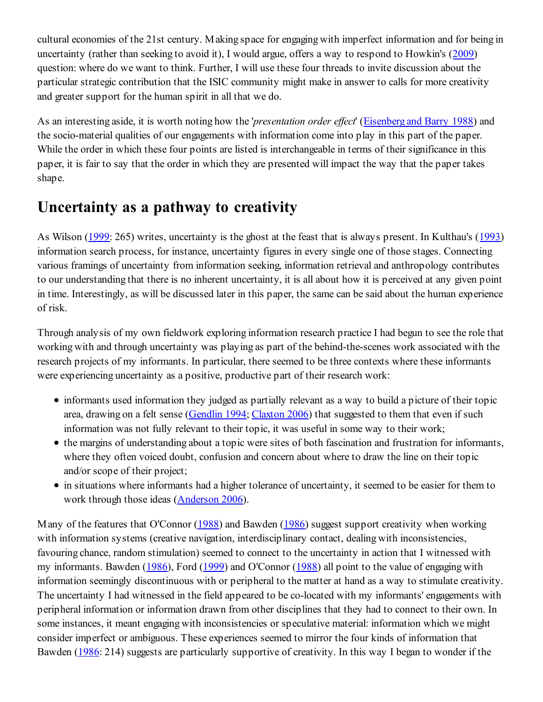cultural economies of the 21st century. Making space for engaging with imperfect information and for being in uncertainty (rather than seeking to avoid it), I would argue, offers a way to respond to Howkin's (2009) question: where do we want to think. Further, I will use these four threads to invite discussion about the particular strategic contribution that the ISIC community might make in answer to calls for more creativity and greater support for the human spirit in all that we do.

As an interesting aside, it is worth noting how the '*presentation order effect*' (Eisenberg and Barry 1988) and the socio-material qualities of our engagements with information come into play in this part of the paper. While the order in which these four points are listed is interchangeable in terms of their significance in this paper, it is fair to say that the order in which they are presented will impact the way that the paper takes shape.

### **Uncertainty as a pathway to creativity**

As Wilson (1999: 265) writes, uncertainty is the ghost at the feast that is always present. In Kulthau's (1993) information search process, for instance, uncertainty figures in every single one of those stages. Connecting various framings of uncertainty from information seeking, information retrieval and anthropology contributes to our understanding that there is no inherent uncertainty, it is all about how it is perceived at any given point in time. Interestingly, as will be discussed later in this paper, the same can be said about the human experience of risk.

Through analysis of my own fieldwork exploring information research practice I had begun to see the role that working with and through uncertainty was playing as part of the behind-the-scenes work associated with the research projects of my informants. In particular, there seemed to be three contexts where these informants were experiencing uncertainty as a positive, productive part of their research work:

- informants used information they judged as partially relevant as a way to build a picture of their topic area, drawing on a felt sense (Gendlin 1994; Claxton 2006) that suggested to them that even if such information was not fully relevant to their topic, it was useful in some way to their work;
- the margins of understanding about a topic were sites of both fascination and frustration for informants, where they often voiced doubt, confusion and concern about where to draw the line on their topic and/or scope of their project;
- in situations where informants had a higher tolerance of uncertainty, it seemed to be easier for them to work through those ideas (Anderson 2006).

Many of the features that O'Connor (1988) and Bawden (1986) suggest support creativity when working with information systems (creative navigation, interdisciplinary contact, dealing with inconsistencies, favouring chance, random stimulation) seemed to connect to the uncertainty in action that I witnessed with my informants. Bawden (1986), Ford (1999) and O'Connor (1988) all point to the value of engaging with information seemingly discontinuous with or peripheral to the matter at hand as a way to stimulate creativity. The uncertainty I had witnessed in the field appeared to be co-located with my informants' engagements with peripheral information or information drawn from other disciplines that they had to connect to their own. In some instances, it meant engaging with inconsistencies or speculative material: information which we might consider imperfect or ambiguous. These experiences seemed to mirror the four kinds of information that Bawden (1986: 214) suggests are particularly supportive of creativity. In this way I began to wonder if the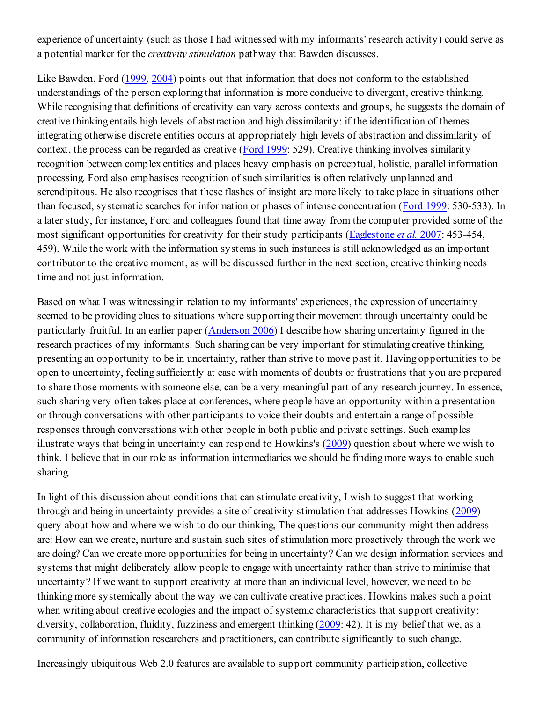experience of uncertainty (such as those I had witnessed with my informants' research activity) could serve as a potential marker for the *creativity stimulation* pathway that Bawden discusses.

Like Bawden, Ford (1999, 2004) points out that information that does not conform to the established understandings of the person exploring that information is more conducive to divergent, creative thinking. While recognising that definitions of creativity can vary across contexts and groups, he suggests the domain of creative thinking entails high levels of abstraction and high dissimilarity: if the identification of themes integrating otherwise discrete entities occurs at appropriately high levels of abstraction and dissimilarity of context, the process can be regarded as creative (Ford 1999: 529). Creative thinking involves similarity recognition between complex entities and places heavy emphasis on perceptual, holistic, parallel information processing. Ford also emphasises recognition of such similarities is often relatively unplanned and serendipitous. He also recognises that these flashes of insight are more likely to take place in situations other than focused, systematic searches for information or phases of intense concentration (Ford 1999: 530-533). In a later study, for instance, Ford and colleagues found that time away from the computer provided some of the most significant opportunities for creativity for their study participants (Eaglestone *et al.* 2007: 453-454, 459). While the work with the information systems in such instances is still acknowledged as an important contributor to the creative moment, as will be discussed further in the next section, creative thinking needs time and not just information.

Based on what I was witnessing in relation to my informants' experiences, the expression of uncertainty seemed to be providing clues to situations where supporting their movement through uncertainty could be particularly fruitful. In an earlier paper (Anderson 2006) I describe how sharing uncertainty figured in the research practices of my informants. Such sharing can be very important for stimulating creative thinking, presenting an opportunity to be in uncertainty, rather than strive to move past it. Having opportunities to be open to uncertainty, feeling sufficiently at ease with moments of doubts or frustrations that you are prepared to share those moments with someone else, can be a very meaningful part of any research journey. In essence, such sharing very often takes place at conferences, where people have an opportunity within a presentation or through conversations with other participants to voice their doubts and entertain a range of possible responses through conversations with other people in both public and private settings. Such examples illustrate ways that being in uncertainty can respond to Howkins's (2009) question about where we wish to think. I believe that in our role as information intermediaries we should be finding more ways to enable such sharing.

In light of this discussion about conditions that can stimulate creativity, I wish to suggest that working through and being in uncertainty provides a site of creativity stimulation that addresses Howkins (2009) query about how and where we wish to do our thinking, The questions our community might then address are: How can we create, nurture and sustain such sites of stimulation more proactively through the work we are doing? Can we create more opportunities for being in uncertainty? Can we design information services and systems that might deliberately allow people to engage with uncertainty rather than strive to minimise that uncertainty? If we want to support creativity at more than an individual level, however, we need to be thinking more systemically about the way we can cultivate creative practices. Howkins makes such a point when writing about creative ecologies and the impact of systemic characteristics that support creativity: diversity, collaboration, fluidity, fuzziness and emergent thinking (2009: 42). It is my belief that we, as a community of information researchers and practitioners, can contribute significantly to such change.

Increasingly ubiquitous Web 2.0 features are available to support community participation, collective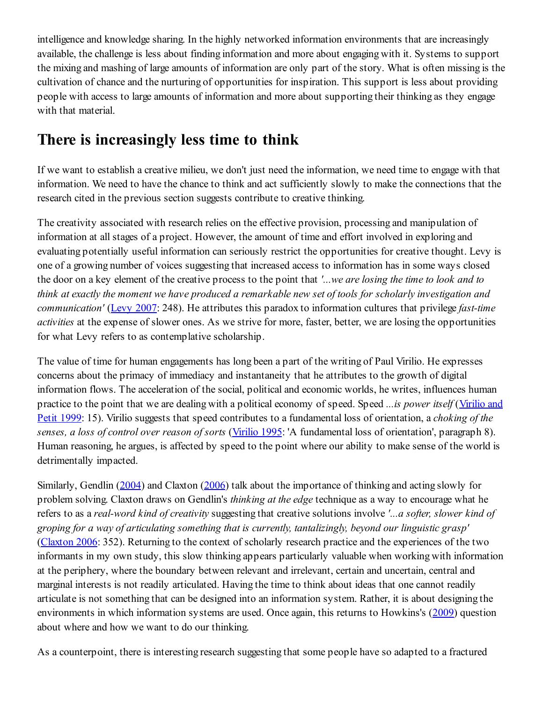intelligence and knowledge sharing. In the highly networked information environments that are increasingly available, the challenge is less about finding information and more about engaging with it. Systems to support the mixing and mashing of large amounts of information are only part of the story. What is often missing is the cultivation of chance and the nurturing of opportunities for inspiration. This support is less about providing people with access to large amounts of information and more about supporting their thinking as they engage with that material.

#### **There is increasingly less time to think**

If we want to establish a creative milieu, we don't just need the information, we need time to engage with that information. We need to have the chance to think and act sufficiently slowly to make the connections that the research cited in the previous section suggests contribute to creative thinking.

The creativity associated with research relies on the effective provision, processing and manipulation of information at all stages of a project. However, the amount of time and effort involved in exploring and evaluating potentially useful information can seriously restrict the opportunities for creative thought. Levy is one of a growing number of voices suggesting that increased access to information has in some ways closed the door on a key element of the creative process to the point that *'...we are losing the time to look and to think at exactly the moment we have produced a remarkable new set of tools for scholarly investigation and communication'* (Levy 2007: 248). He attributes this paradox to information cultures that privilege *fast-time activities* at the expense of slower ones. As we strive for more, faster, better, we are losing the opportunities for what Levy refers to as contemplative scholarship.

The value of time for human engagements has long been a part of the writing of Paul Virilio. He expresses concerns about the primacy of immediacy and instantaneity that he attributes to the growth of digital information flows. The acceleration of the social, political and economic worlds, he writes, influences human practice to the point that we are dealing with a political economy of speed. Speed *...is power itself* (Virilio and Petit 1999: 15). Virilio suggests that speed contributes to a fundamental loss of orientation, a *choking of the senses, a loss of control over reason of sorts* (Virilio 1995: 'A fundamental loss of orientation', paragraph 8). Human reasoning, he argues, is affected by speed to the point where our ability to make sense of the world is detrimentally impacted.

Similarly, Gendlin (2004) and Claxton (2006) talk about the importance of thinking and acting slowly for problem solving. Claxton draws on Gendlin's *thinking at the edge* technique as a way to encourage what he refers to as a *real-word kind of creativity* suggesting that creative solutions involve *'...a softer, slower kind of groping for a way of articulating something that is currently, tantalizingly, beyond our linguistic grasp'* (Claxton 2006: 352). Returning to the context of scholarly research practice and the experiences of the two informants in my own study, this slow thinking appears particularly valuable when working with information at the periphery, where the boundary between relevant and irrelevant, certain and uncertain, central and marginal interests is not readily articulated. Having the time to think about ideas that one cannot readily articulate is not something that can be designed into an information system. Rather, it is about designing the environments in which information systems are used. Once again, this returns to Howkins's (2009) question about where and how we want to do our thinking.

As a counterpoint, there is interesting research suggesting that some people have so adapted to a fractured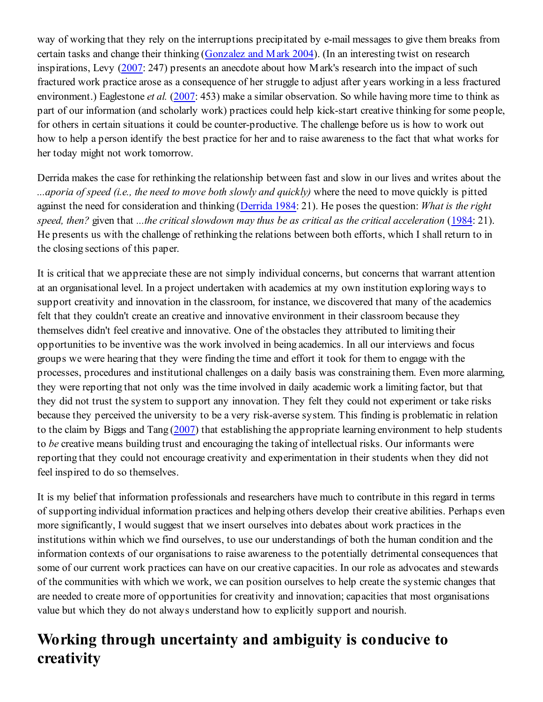way of working that they rely on the interruptions precipitated by e-mail messages to give them breaks from certain tasks and change their thinking (Gonzalez and Mark 2004). (In an interesting twist on research inspirations, Levy (2007: 247) presents an anecdote about how Mark's research into the impact of such fractured work practice arose as a consequence of her struggle to adjust after years working in a less fractured environment.) Eaglestone *et al.* (2007: 453) make a similar observation. So while having more time to think as part of our information (and scholarly work) practices could help kick-start creative thinking for some people, for others in certain situations it could be counter-productive. The challenge before us is how to work out how to help a person identify the best practice for her and to raise awareness to the fact that what works for her today might not work tomorrow.

Derrida makes the case for rethinking the relationship between fast and slow in our lives and writes about the *...aporia of speed (i.e., the need to move both slowly and quickly)* where the need to move quickly is pitted against the need for consideration and thinking (Derrida 1984: 21). He poses the question: *What is the right speed, then?* given that *...the critical slowdown may thus be as critical as the critical acceleration* (1984: 21). He presents us with the challenge of rethinking the relations between both efforts, which I shall return to in the closing sections of this paper.

It is critical that we appreciate these are not simply individual concerns, but concerns that warrant attention at an organisational level. In a project undertaken with academics at my own institution exploring ways to support creativity and innovation in the classroom, for instance, we discovered that many of the academics felt that they couldn't create an creative and innovative environment in their classroom because they themselves didn't feel creative and innovative. One of the obstacles they attributed to limiting their opportunities to be inventive was the work involved in being academics. In all our interviews and focus groups we were hearing that they were finding the time and effort it took for them to engage with the processes, procedures and institutional challenges on a daily basis was constraining them. Even more alarming, they were reporting that not only was the time involved in daily academic work a limiting factor, but that they did not trust the system to support any innovation. They felt they could not experiment or take risks because they perceived the university to be a very risk-averse system. This finding is problematic in relation to the claim by Biggs and Tang (2007) that establishing the appropriate learning environment to help students to *be* creative means building trust and encouraging the taking of intellectual risks. Our informants were reporting that they could not encourage creativity and experimentation in their students when they did not feel inspired to do so themselves.

It is my belief that information professionals and researchers have much to contribute in this regard in terms of supporting individual information practices and helping others develop their creative abilities. Perhaps even more significantly, I would suggest that we insert ourselves into debates about work practices in the institutions within which we find ourselves, to use our understandings of both the human condition and the information contexts of our organisations to raise awareness to the potentially detrimental consequences that some of our current work practices can have on our creative capacities. In our role as advocates and stewards of the communities with which we work, we can position ourselves to help create the systemic changes that are needed to create more of opportunities for creativity and innovation; capacities that most organisations value but which they do not always understand how to explicitly support and nourish.

### **Working through uncertainty and ambiguity is conducive to creativity**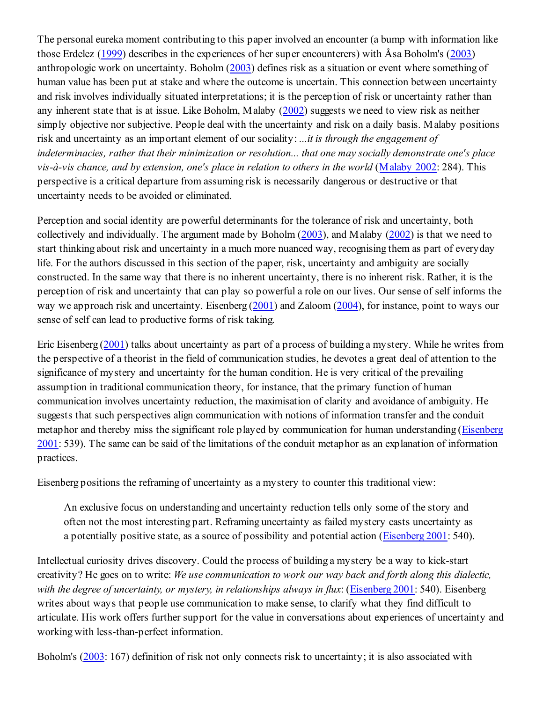The personal eureka moment contributing to this paper involved an encounter (a bump with information like those Erdelez (1999) describes in the experiences of her super encounterers) with Åsa Boholm's (2003) anthropologic work on uncertainty. Boholm (2003) defines risk as a situation or event where something of human value has been put at stake and where the outcome is uncertain. This connection between uncertainty and risk involves individually situated interpretations; it is the perception of risk or uncertainty rather than any inherent state that is at issue. Like Boholm, Malaby (2002) suggests we need to view risk as neither simply objective nor subjective. People deal with the uncertainty and risk on a daily basis. Malaby positions risk and uncertainty as an important element of our sociality: *...it is through the engagement of indeterminacies, rather that their minimization or resolution... that one may socially demonstrate one's place vis-à-vis chance, and by extension, one's place in relation to others in the world* (Malaby 2002: 284). This perspective is a critical departure from assuming risk is necessarily dangerous or destructive or that uncertainty needs to be avoided or eliminated.

Perception and social identity are powerful determinants for the tolerance of risk and uncertainty, both collectively and individually. The argument made by Boholm (2003), and Malaby (2002) is that we need to start thinking about risk and uncertainty in a much more nuanced way, recognising them as part of everyday life. For the authors discussed in this section of the paper, risk, uncertainty and ambiguity are socially constructed. In the same way that there is no inherent uncertainty, there is no inherent risk. Rather, it is the perception of risk and uncertainty that can play so powerful a role on our lives. Our sense of self informs the way we approach risk and uncertainty. Eisenberg (2001) and Zaloom (2004), for instance, point to ways our sense of self can lead to productive forms of risk taking.

Eric Eisenberg (2001) talks about uncertainty as part of a process of building a mystery. While he writes from the perspective of a theorist in the field of communication studies, he devotes a great deal of attention to the significance of mystery and uncertainty for the human condition. He is very critical of the prevailing assumption in traditional communication theory, for instance, that the primary function of human communication involves uncertainty reduction, the maximisation of clarity and avoidance of ambiguity. He suggests that such perspectives align communication with notions of information transfer and the conduit metaphor and thereby miss the significant role played by communication for human understanding (Eisenberg 2001: 539). The same can be said of the limitations of the conduit metaphor as an explanation of information practices.

Eisenberg positions the reframing of uncertainty as a mystery to counter this traditional view:

An exclusive focus on understanding and uncertainty reduction tells only some of the story and often not the most interesting part. Reframing uncertainty as failed mystery casts uncertainty as a potentially positive state, as a source of possibility and potential action (Eisenberg 2001: 540).

Intellectual curiosity drives discovery. Could the process of building a mystery be a way to kick-start creativity? He goes on to write: *We use communication to work our way back and forth along this dialectic, with the degree of uncertainty, or mystery, in relationships always in flux*: (Eisenberg 2001: 540). Eisenberg writes about ways that people use communication to make sense, to clarify what they find difficult to articulate. His work offers further support for the value in conversations about experiences of uncertainty and working with less-than-perfect information.

Boholm's (2003: 167) definition of risk not only connects risk to uncertainty; it is also associated with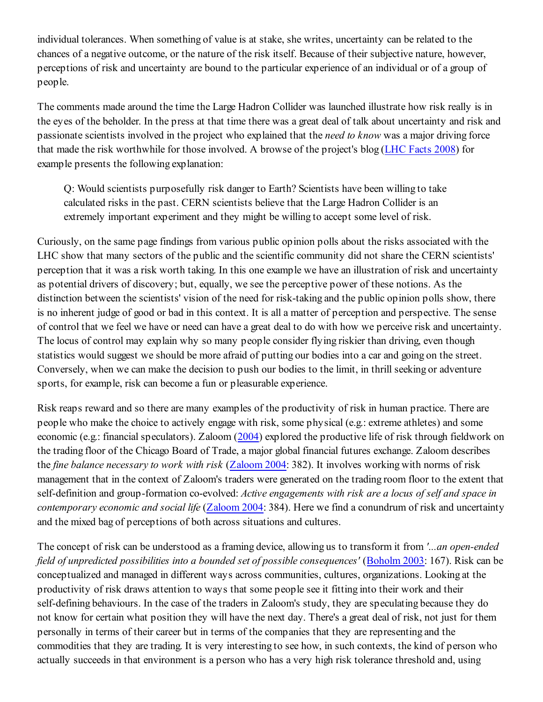individual tolerances. When something of value is at stake, she writes, uncertainty can be related to the chances of a negative outcome, or the nature of the risk itself. Because of their subjective nature, however, perceptions of risk and uncertainty are bound to the particular experience of an individual or of a group of people.

The comments made around the time the Large Hadron Collider was launched illustrate how risk really is in the eyes of the beholder. In the press at that time there was a great deal of talk about uncertainty and risk and passionate scientists involved in the project who explained that the *need to know* was a major driving force that made the risk worthwhile for those involved. A browse of the project's blog (LHC Facts 2008) for example presents the following explanation:

Q: Would scientists purposefully risk danger to Earth? Scientists have been willing to take calculated risks in the past. CERN scientists believe that the Large Hadron Collider is an extremely important experiment and they might be willing to accept some level of risk.

Curiously, on the same page findings from various public opinion polls about the risks associated with the LHC show that many sectors of the public and the scientific community did not share the CERN scientists' perception that it was a risk worth taking. In this one example we have an illustration of risk and uncertainty as potential drivers of discovery; but, equally, we see the perceptive power of these notions. As the distinction between the scientists' vision of the need for risk-taking and the public opinion polls show, there is no inherent judge of good or bad in this context. It is all a matter of perception and perspective. The sense of control that we feel we have or need can have a great deal to do with how we perceive risk and uncertainty. The locus of control may explain why so many people consider flying riskier than driving, even though statistics would suggest we should be more afraid of putting our bodies into a car and going on the street. Conversely, when we can make the decision to push our bodies to the limit, in thrill seeking or adventure sports, for example, risk can become a fun or pleasurable experience.

Risk reaps reward and so there are many examples of the productivity of risk in human practice. There are people who make the choice to actively engage with risk, some physical (e.g.: extreme athletes) and some economic (e.g.: financial speculators). Zaloom (2004) explored the productive life of risk through fieldwork on the trading floor of the Chicago Board of Trade, a major global financial futures exchange. Zaloom describes the *fine balance necessary to work with risk* (Zaloom 2004: 382). It involves working with norms of risk management that in the context of Zaloom's traders were generated on the trading room floor to the extent that self-definition and group-formation co-evolved: *Active engagements with risk are a locus of self and space in contemporary economic and social life* (Zaloom 2004: 384). Here we find a conundrum of risk and uncertainty and the mixed bag of perceptions of both across situations and cultures.

The concept of risk can be understood as a framing device, allowing us to transform it from *'...an open-ended field of unpredicted possibilities into a bounded set of possible consequences'* (Boholm 2003: 167). Risk can be conceptualized and managed in different ways across communities, cultures, organizations. Looking at the productivity of risk draws attention to ways that some people see it fitting into their work and their self-defining behaviours. In the case of the traders in Zaloom's study, they are speculating because they do not know for certain what position they will have the next day. There's a great deal of risk, not just for them personally in terms of their career but in terms of the companies that they are representing and the commodities that they are trading. It is very interesting to see how, in such contexts, the kind of person who actually succeeds in that environment is a person who has a very high risk tolerance threshold and, using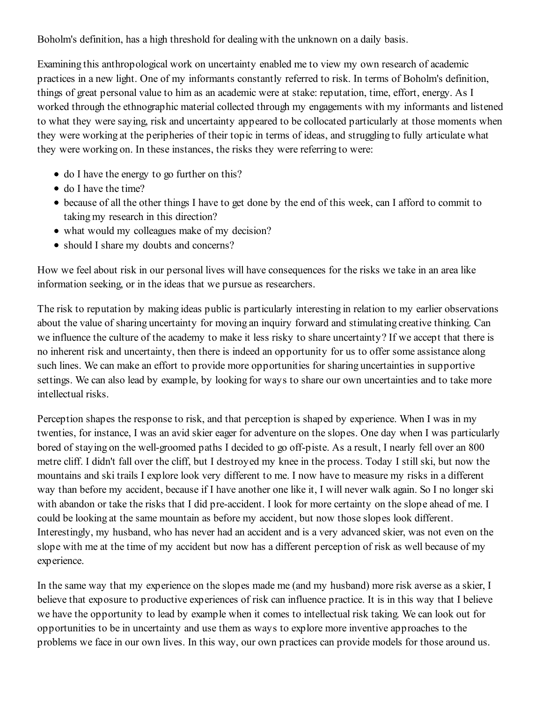Boholm's definition, has a high threshold for dealing with the unknown on a daily basis.

Examining this anthropological work on uncertainty enabled me to view my own research of academic practices in a new light. One of my informants constantly referred to risk. In terms of Boholm's definition, things of great personal value to him as an academic were at stake: reputation, time, effort, energy. As I worked through the ethnographic material collected through my engagements with my informants and listened to what they were saying, risk and uncertainty appeared to be collocated particularly at those moments when they were working at the peripheries of their topic in terms of ideas, and struggling to fully articulate what they were working on. In these instances, the risks they were referring to were:

- do I have the energy to go further on this?
- do I have the time?
- because of all the other things I have to get done by the end of this week, can I afford to commit to taking my research in this direction?
- what would my colleagues make of my decision?
- should I share my doubts and concerns?

How we feel about risk in our personal lives will have consequences for the risks we take in an area like information seeking, or in the ideas that we pursue as researchers.

The risk to reputation by making ideas public is particularly interesting in relation to my earlier observations about the value of sharing uncertainty for moving an inquiry forward and stimulating creative thinking. Can we influence the culture of the academy to make it less risky to share uncertainty? If we accept that there is no inherent risk and uncertainty, then there is indeed an opportunity for us to offer some assistance along such lines. We can make an effort to provide more opportunities for sharing uncertainties in supportive settings. We can also lead by example, by looking for ways to share our own uncertainties and to take more intellectual risks.

Perception shapes the response to risk, and that perception is shaped by experience. When I was in my twenties, for instance, I was an avid skier eager for adventure on the slopes. One day when I was particularly bored of staying on the well-groomed paths I decided to go off-piste. As a result, I nearly fell over an 800 metre cliff. I didn't fall over the cliff, but I destroyed my knee in the process. Today I still ski, but now the mountains and ski trails I explore look very different to me. I now have to measure my risks in a different way than before my accident, because if I have another one like it, I will never walk again. So I no longer ski with abandon or take the risks that I did pre-accident. I look for more certainty on the slope ahead of me. I could be looking at the same mountain as before my accident, but now those slopes look different. Interestingly, my husband, who has never had an accident and is a very advanced skier, was not even on the slope with me at the time of my accident but now has a different perception of risk as well because of my experience.

In the same way that my experience on the slopes made me (and my husband) more risk averse as a skier, I believe that exposure to productive experiences of risk can influence practice. It is in this way that I believe we have the opportunity to lead by example when it comes to intellectual risk taking. We can look out for opportunities to be in uncertainty and use them as ways to explore more inventive approaches to the problems we face in our own lives. In this way, our own practices can provide models for those around us.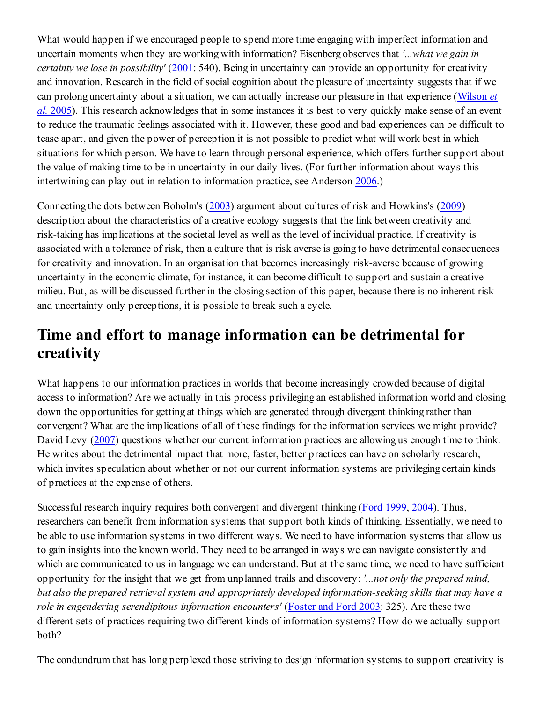What would happen if we encouraged people to spend more time engaging with imperfect information and uncertain moments when they are working with information? Eisenberg observes that *'...what we gain in certainty we lose in possibility'* (2001: 540). Being in uncertainty can provide an opportunity for creativity and innovation. Research in the field of social cognition about the pleasure of uncertainty suggests that if we can prolong uncertainty about a situation, we can actually increase our pleasure in that experience (Wilson *et al.* 2005). This research acknowledges that in some instances it is best to very quickly make sense of an event to reduce the traumatic feelings associated with it. However, these good and bad experiences can be difficult to tease apart, and given the power of perception it is not possible to predict what will work best in which situations for which person. We have to learn through personal experience, which offers further support about the value of making time to be in uncertainty in our daily lives. (For further information about ways this intertwining can play out in relation to information practice, see Anderson 2006.)

Connecting the dots between Boholm's (2003) argument about cultures of risk and Howkins's (2009) description about the characteristics of a creative ecology suggests that the link between creativity and risk-taking has implications at the societal level as well as the level of individual practice. If creativity is associated with a tolerance of risk, then a culture that is risk averse is going to have detrimental consequences for creativity and innovation. In an organisation that becomes increasingly risk-averse because of growing uncertainty in the economic climate, for instance, it can become difficult to support and sustain a creative milieu. But, as will be discussed further in the closing section of this paper, because there is no inherent risk and uncertainty only perceptions, it is possible to break such a cycle.

### **Time and effort to manage information can be detrimental for creativity**

What happens to our information practices in worlds that become increasingly crowded because of digital access to information? Are we actually in this process privileging an established information world and closing down the opportunities for getting at things which are generated through divergent thinking rather than convergent? What are the implications of all of these findings for the information services we might provide? David Levy (2007) questions whether our current information practices are allowing us enough time to think. He writes about the detrimental impact that more, faster, better practices can have on scholarly research, which invites speculation about whether or not our current information systems are privileging certain kinds of practices at the expense of others.

Successful research inquiry requires both convergent and divergent thinking (Ford 1999, 2004). Thus, researchers can benefit from information systems that support both kinds of thinking. Essentially, we need to be able to use information systems in two different ways. We need to have information systems that allow us to gain insights into the known world. They need to be arranged in ways we can navigate consistently and which are communicated to us in language we can understand. But at the same time, we need to have sufficient opportunity for the insight that we get from unplanned trails and discovery: *'...not only the prepared mind, but also the prepared retrieval system and appropriately developed information-seeking skills that may have a role in engendering serendipitous information encounters'* (Foster and Ford 2003: 325). Are these two different sets of practices requiring two different kinds of information systems? How do we actually support both?

The condundrum that has long perplexed those striving to design information systems to support creativity is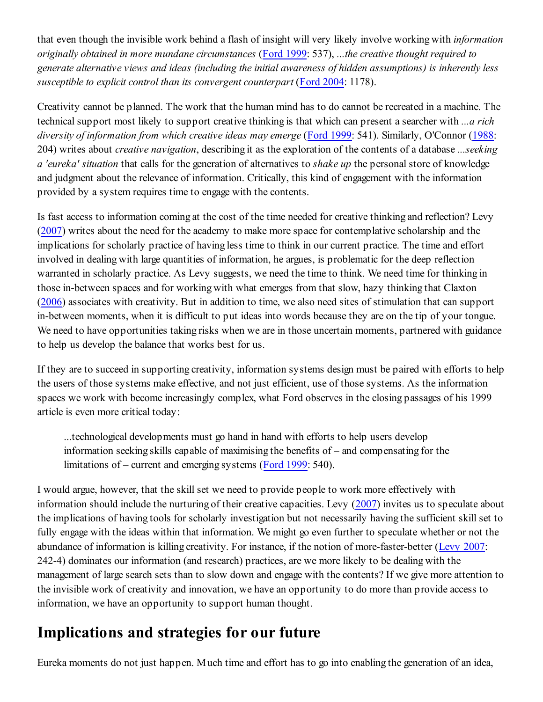that even though the invisible work behind a flash of insight will very likely involve working with *information originally obtained in more mundane circumstances* (Ford 1999: 537), *...the creative thought required to generate alternative views and ideas (including the initial awareness of hidden assumptions) is inherently less susceptible to explicit control than its convergent counterpart* (Ford 2004: 1178).

Creativity cannot be planned. The work that the human mind has to do cannot be recreated in a machine. The technical support most likely to support creative thinking is that which can present a searcher with *...a rich diversity of information from which creative ideas may emerge* (Ford 1999: 541). Similarly, O'Connor (1988: 204) writes about *creative navigation*, describing it as the exploration of the contents of a database *...seeking a 'eureka' situation* that calls for the generation of alternatives to *shake up* the personal store of knowledge and judgment about the relevance of information. Critically, this kind of engagement with the information provided by a system requires time to engage with the contents.

Is fast access to information coming at the cost of the time needed for creative thinking and reflection? Levy (2007) writes about the need for the academy to make more space for contemplative scholarship and the implications for scholarly practice of having less time to think in our current practice. The time and effort involved in dealing with large quantities of information, he argues, is problematic for the deep reflection warranted in scholarly practice. As Levy suggests, we need the time to think. We need time for thinking in those in-between spaces and for working with what emerges from that slow, hazy thinking that Claxton (2006) associates with creativity. But in addition to time, we also need sites of stimulation that can support in-between moments, when it is difficult to put ideas into words because they are on the tip of your tongue. We need to have opportunities taking risks when we are in those uncertain moments, partnered with guidance to help us develop the balance that works best for us.

If they are to succeed in supporting creativity, information systems design must be paired with efforts to help the users of those systems make effective, and not just efficient, use of those systems. As the information spaces we work with become increasingly complex, what Ford observes in the closing passages of his 1999 article is even more critical today:

...technological developments must go hand in hand with efforts to help users develop information seeking skills capable of maximising the benefits of – and compensating for the limitations of – current and emerging systems (Ford 1999: 540).

I would argue, however, that the skill set we need to provide people to work more effectively with information should include the nurturing of their creative capacities. Levy (2007) invites us to speculate about the implications of having tools for scholarly investigation but not necessarily having the sufficient skill set to fully engage with the ideas within that information. We might go even further to speculate whether or not the abundance of information is killing creativity. For instance, if the notion of more-faster-better (Levy 2007: 242-4) dominates our information (and research) practices, are we more likely to be dealing with the management of large search sets than to slow down and engage with the contents? If we give more attention to the invisible work of creativity and innovation, we have an opportunity to do more than provide access to information, we have an opportunity to support human thought.

### **Implications and strategies for our future**

Eureka moments do not just happen. Much time and effort has to go into enabling the generation of an idea,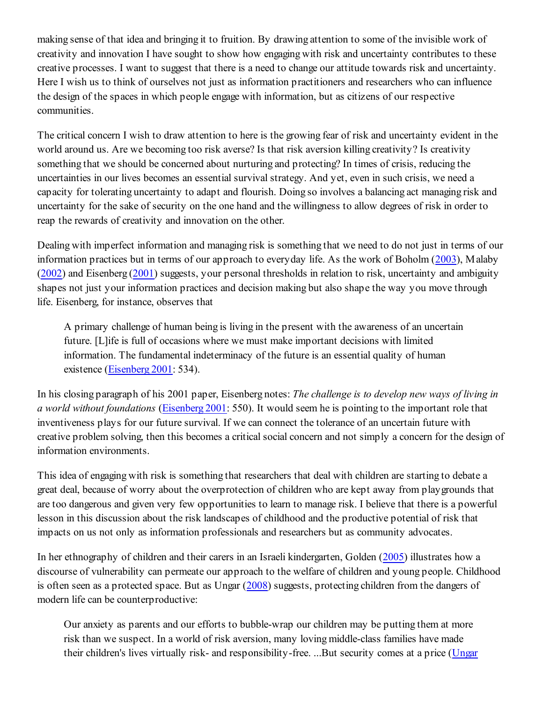making sense of that idea and bringing it to fruition. By drawing attention to some of the invisible work of creativity and innovation I have sought to show how engaging with risk and uncertainty contributes to these creative processes. I want to suggest that there is a need to change our attitude towards risk and uncertainty. Here I wish us to think of ourselves not just as information practitioners and researchers who can influence the design of the spaces in which people engage with information, but as citizens of our respective communities.

The critical concern I wish to draw attention to here is the growing fear of risk and uncertainty evident in the world around us. Are we becoming too risk averse? Is that risk aversion killing creativity? Is creativity something that we should be concerned about nurturing and protecting? In times of crisis, reducing the uncertainties in our lives becomes an essential survival strategy. And yet, even in such crisis, we need a capacity for tolerating uncertainty to adapt and flourish. Doing so involves a balancing act managing risk and uncertainty for the sake of security on the one hand and the willingness to allow degrees of risk in order to reap the rewards of creativity and innovation on the other.

Dealing with imperfect information and managing risk is something that we need to do not just in terms of our information practices but in terms of our approach to everyday life. As the work of Boholm (2003), Malaby (2002) and Eisenberg (2001) suggests, your personal thresholds in relation to risk, uncertainty and ambiguity shapes not just your information practices and decision making but also shape the way you move through life. Eisenberg, for instance, observes that

A primary challenge of human being is living in the present with the awareness of an uncertain future. [L]ife is full of occasions where we must make important decisions with limited information. The fundamental indeterminacy of the future is an essential quality of human existence (Eisenberg 2001: 534).

In his closing paragraph of his 2001 paper, Eisenberg notes: *The challenge is to develop new ways of living in a world without foundations* (Eisenberg 2001: 550). It would seem he is pointing to the important role that inventiveness plays for our future survival. If we can connect the tolerance of an uncertain future with creative problem solving, then this becomes a critical social concern and not simply a concern for the design of information environments.

This idea of engaging with risk is something that researchers that deal with children are starting to debate a great deal, because of worry about the overprotection of children who are kept away from playgrounds that are too dangerous and given very few opportunities to learn to manage risk. I believe that there is a powerful lesson in this discussion about the risk landscapes of childhood and the productive potential of risk that impacts on us not only as information professionals and researchers but as community advocates.

In her ethnography of children and their carers in an Israeli kindergarten, Golden (2005) illustrates how a discourse of vulnerability can permeate our approach to the welfare of children and young people. Childhood is often seen as a protected space. But as Ungar (2008) suggests, protecting children from the dangers of modern life can be counterproductive:

Our anxiety as parents and our efforts to bubble-wrap our children may be putting them at more risk than we suspect. In a world of risk aversion, many loving middle-class families have made their children's lives virtually risk- and responsibility-free. ...But security comes at a price (Ungar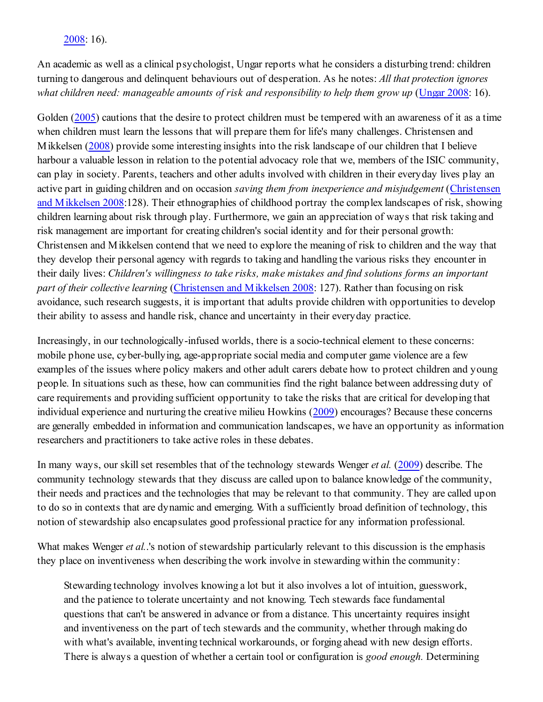#### 2008: 16).

An academic as well as a clinical psychologist, Ungar reports what he considers a disturbing trend: children turning to dangerous and delinquent behaviours out of desperation. As he notes: *All that protection ignores* what children need: manageable amounts of risk and responsibility to help them grow up (Ungar 2008: 16).

Golden (2005) cautions that the desire to protect children must be tempered with an awareness of it as a time when children must learn the lessons that will prepare them for life's many challenges. Christensen and Mikkelsen (2008) provide some interesting insights into the risk landscape of our children that I believe harbour a valuable lesson in relation to the potential advocacy role that we, members of the ISIC community, can play in society. Parents, teachers and other adults involved with children in their everyday lives play an active part in guiding children and on occasion *saving them from inexperience and misjudgement* (Christensen and Mikkelsen 2008:128). Their ethnographies of childhood portray the complex landscapes of risk, showing children learning about risk through play. Furthermore, we gain an appreciation of ways that risk taking and risk management are important for creating children's social identity and for their personal growth: Christensen and Mikkelsen contend that we need to explore the meaning of risk to children and the way that they develop their personal agency with regards to taking and handling the various risks they encounter in their daily lives: *Children's willingness to take risks, make mistakes and find solutions forms an important part of their collective learning* (Christensen and Mikkelsen 2008: 127). Rather than focusing on risk avoidance, such research suggests, it is important that adults provide children with opportunities to develop their ability to assess and handle risk, chance and uncertainty in their everyday practice.

Increasingly, in our technologically-infused worlds, there is a socio-technical element to these concerns: mobile phone use, cyber-bullying, age-appropriate social media and computer game violence are a few examples of the issues where policy makers and other adult carers debate how to protect children and young people. In situations such as these, how can communities find the right balance between addressing duty of care requirements and providing sufficient opportunity to take the risks that are critical for developing that individual experience and nurturing the creative milieu Howkins (2009) encourages? Because these concerns are generally embedded in information and communication landscapes, we have an opportunity as information researchers and practitioners to take active roles in these debates.

In many ways, our skill set resembles that of the technology stewards Wenger *et al.* (2009) describe. The community technology stewards that they discuss are called upon to balance knowledge of the community, their needs and practices and the technologies that may be relevant to that community. They are called upon to do so in contexts that are dynamic and emerging. With a sufficiently broad definition of technology, this notion of stewardship also encapsulates good professional practice for any information professional.

What makes Wenger *et al.*.'s notion of stewardship particularly relevant to this discussion is the emphasis they place on inventiveness when describing the work involve in stewarding within the community:

Stewarding technology involves knowing a lot but it also involves a lot of intuition, guesswork, and the patience to tolerate uncertainty and not knowing. Tech stewards face fundamental questions that can't be answered in advance or from a distance. This uncertainty requires insight and inventiveness on the part of tech stewards and the community, whether through making do with what's available, inventing technical workarounds, or forging ahead with new design efforts. There is always a question of whether a certain tool or configuration is *good enough.* Determining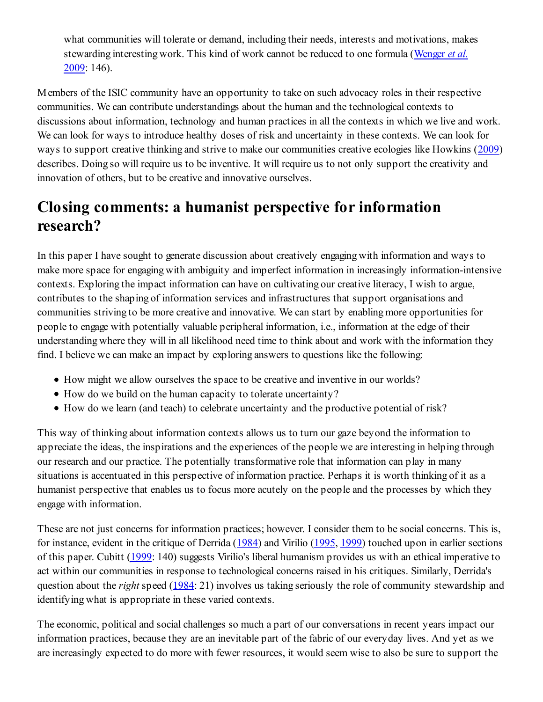what communities will tolerate or demand, including their needs, interests and motivations, makes stewarding interesting work. This kind of work cannot be reduced to one formula (Wenger *et al.* 2009: 146).

Members of the ISIC community have an opportunity to take on such advocacy roles in their respective communities. We can contribute understandings about the human and the technological contexts to discussions about information, technology and human practices in all the contexts in which we live and work. We can look for ways to introduce healthy doses of risk and uncertainty in these contexts. We can look for ways to support creative thinking and strive to make our communities creative ecologies like Howkins (2009) describes. Doing so will require us to be inventive. It will require us to not only support the creativity and innovation of others, but to be creative and innovative ourselves.

### **Closing comments: a humanist perspective for information research?**

In this paper I have sought to generate discussion about creatively engaging with information and ways to make more space for engaging with ambiguity and imperfect information in increasingly information-intensive contexts. Exploring the impact information can have on cultivating our creative literacy, I wish to argue, contributes to the shaping of information services and infrastructures that support organisations and communities striving to be more creative and innovative. We can start by enabling more opportunities for people to engage with potentially valuable peripheral information, i.e., information at the edge of their understanding where they will in all likelihood need time to think about and work with the information they find. I believe we can make an impact by exploring answers to questions like the following:

- How might we allow ourselves the space to be creative and inventive in our worlds?
- How do we build on the human capacity to tolerate uncertainty?
- How do we learn (and teach) to celebrate uncertainty and the productive potential of risk?

This way of thinking about information contexts allows us to turn our gaze beyond the information to appreciate the ideas, the inspirations and the experiences of the people we are interesting in helping through our research and our practice. The potentially transformative role that information can play in many situations is accentuated in this perspective of information practice. Perhaps it is worth thinking of it as a humanist perspective that enables us to focus more acutely on the people and the processes by which they engage with information.

These are not just concerns for information practices; however. I consider them to be social concerns. This is, for instance, evident in the critique of Derrida (1984) and Virilio (1995, 1999) touched upon in earlier sections of this paper. Cubitt (1999: 140) suggests Virilio's liberal humanism provides us with an ethical imperative to act within our communities in response to technological concerns raised in his critiques. Similarly, Derrida's question about the *right* speed (1984: 21) involves us taking seriously the role of community stewardship and identifying what is appropriate in these varied contexts.

The economic, political and social challenges so much a part of our conversations in recent years impact our information practices, because they are an inevitable part of the fabric of our everyday lives. And yet as we are increasingly expected to do more with fewer resources, it would seem wise to also be sure to support the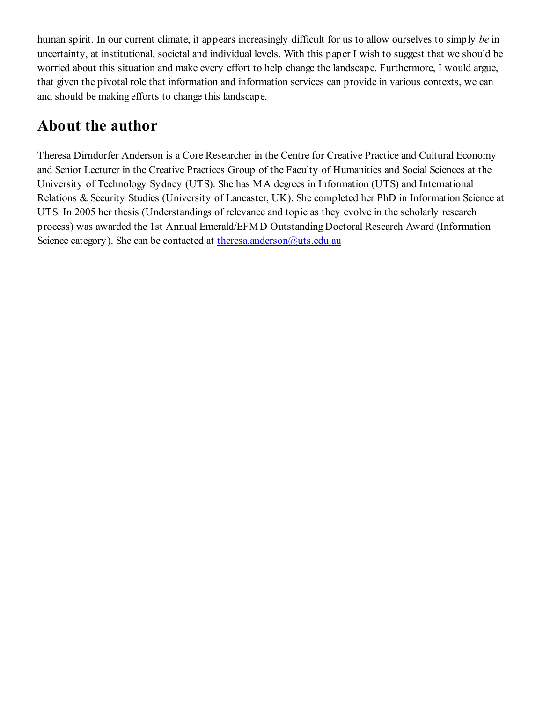human spirit. In our current climate, it appears increasingly difficult for us to allow ourselves to simply *be* in uncertainty, at institutional, societal and individual levels. With this paper I wish to suggest that we should be worried about this situation and make every effort to help change the landscape. Furthermore, I would argue, that given the pivotal role that information and information services can provide in various contexts, we can and should be making efforts to change this landscape.

### **About the author**

Theresa Dirndorfer Anderson is a Core Researcher in the Centre for Creative Practice and Cultural Economy and Senior Lecturer in the Creative Practices Group of the Faculty of Humanities and Social Sciences at the University of Technology Sydney (UTS). She has MA degrees in Information (UTS) and International Relations & Security Studies (University of Lancaster, UK). She completed her PhD in Information Science at UTS. In 2005 her thesis (Understandings of relevance and topic as they evolve in the scholarly research process) was awarded the 1st Annual Emerald/EFMD Outstanding Doctoral Research Award (Information Science category). She can be contacted at theresa.anderson@uts.edu.au